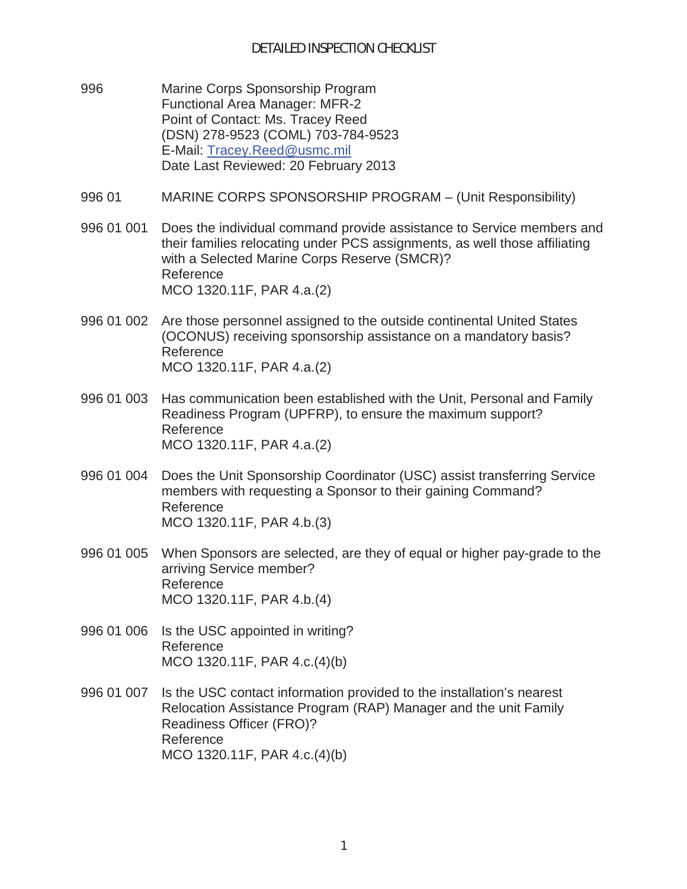- 996 Marine Corps Sponsorship Program Functional Area Manager: MFR-2 Point of Contact: Ms. Tracey Reed (DSN) 278-9523 (COML) 703-784-9523 E-Mail: Tracey.Reed@usmc.mil Date Last Reviewed: 20 February 2013
- 996 01 MARINE CORPS SPONSORSHIP PROGRAM (Unit Responsibility)
- 996 01 001 Does the individual command provide assistance to Service members and their families relocating under PCS assignments, as well those affiliating with a Selected Marine Corps Reserve (SMCR)? Reference MCO 1320.11F, PAR 4.a.(2)
- 996 01 002 Are those personnel assigned to the outside continental United States (OCONUS) receiving sponsorship assistance on a mandatory basis? Reference MCO 1320.11F, PAR 4.a.(2)
- 996 01 003 Has communication been established with the Unit, Personal and Family Readiness Program (UPFRP), to ensure the maximum support? Reference MCO 1320.11F, PAR 4.a.(2)
- 996 01 004 Does the Unit Sponsorship Coordinator (USC) assist transferring Service members with requesting a Sponsor to their gaining Command? Reference MCO 1320.11F, PAR 4.b.(3)
- 996 01 005 When Sponsors are selected, are they of equal or higher pay-grade to the arriving Service member? Reference MCO 1320.11F, PAR 4.b.(4)
- 996 01 006 Is the USC appointed in writing? Reference MCO 1320.11F, PAR 4.c.(4)(b)
- 996 01 007 Is the USC contact information provided to the installation's nearest Relocation Assistance Program (RAP) Manager and the unit Family Readiness Officer (FRO)? Reference MCO 1320.11F, PAR 4.c.(4)(b)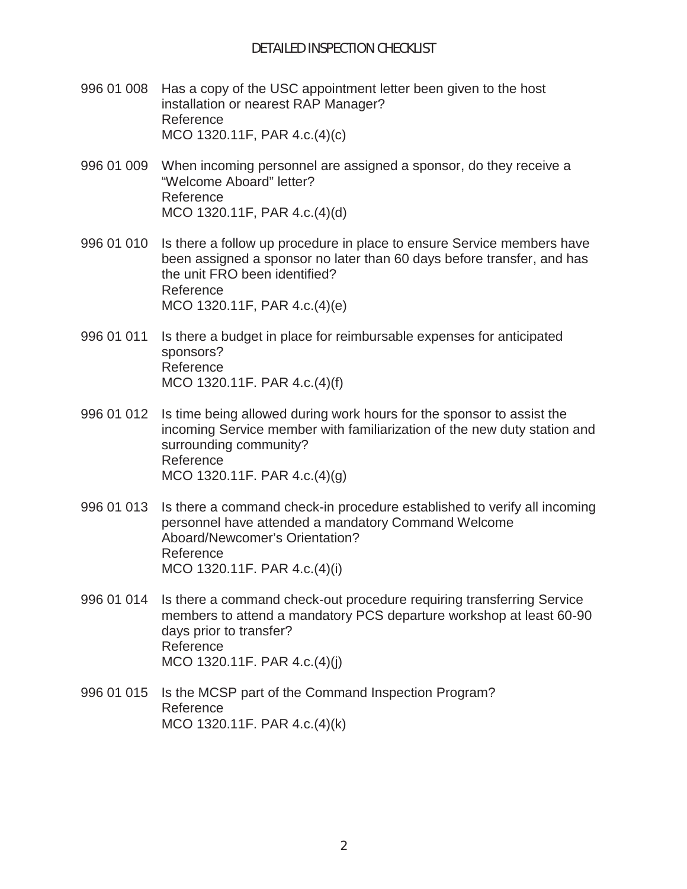- 996 01 008 Has a copy of the USC appointment letter been given to the host installation or nearest RAP Manager? Reference MCO 1320.11F, PAR 4.c.(4)(c)
- 996 01 009 When incoming personnel are assigned a sponsor, do they receive a "Welcome Aboard" letter? Reference MCO 1320.11F, PAR 4.c.(4)(d)
- 996 01 010 Is there a follow up procedure in place to ensure Service members have been assigned a sponsor no later than 60 days before transfer, and has the unit FRO been identified? Reference MCO 1320.11F, PAR 4.c.(4)(e)
- 996 01 011 Is there a budget in place for reimbursable expenses for anticipated sponsors? Reference MCO 1320.11F. PAR 4.c.(4)(f)
- 996 01 012 Is time being allowed during work hours for the sponsor to assist the incoming Service member with familiarization of the new duty station and surrounding community? Reference MCO 1320.11F. PAR 4.c.(4)(g)
- 996 01 013 Is there a command check-in procedure established to verify all incoming personnel have attended a mandatory Command Welcome Aboard/Newcomer's Orientation? Reference MCO 1320.11F. PAR 4.c.(4)(i)
- 996 01 014 Is there a command check-out procedure requiring transferring Service members to attend a mandatory PCS departure workshop at least 60-90 days prior to transfer? Reference MCO 1320.11F. PAR 4.c.(4)(j)
- 996 01 015 Is the MCSP part of the Command Inspection Program? Reference MCO 1320.11F. PAR 4.c.(4)(k)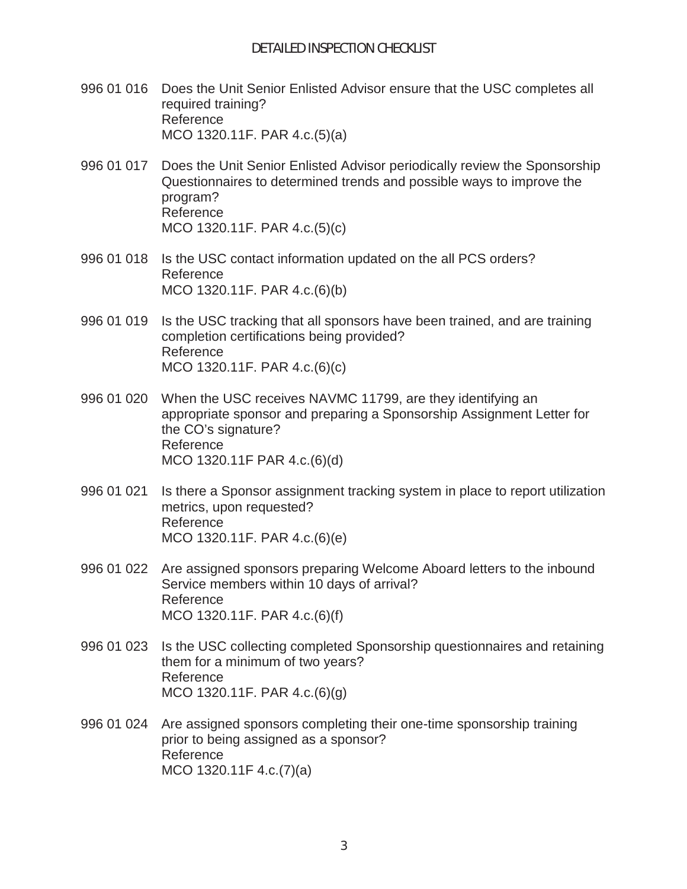- 996 01 016 Does the Unit Senior Enlisted Advisor ensure that the USC completes all required training? Reference MCO 1320.11F. PAR 4.c.(5)(a)
- 996 01 017 Does the Unit Senior Enlisted Advisor periodically review the Sponsorship Questionnaires to determined trends and possible ways to improve the program? Reference MCO 1320.11F. PAR 4.c.(5)(c)
- 996 01 018 Is the USC contact information updated on the all PCS orders? Reference MCO 1320.11F. PAR 4.c.(6)(b)
- 996 01 019 Is the USC tracking that all sponsors have been trained, and are training completion certifications being provided? Reference MCO 1320.11F. PAR 4.c.(6)(c)
- 996 01 020 When the USC receives NAVMC 11799, are they identifying an appropriate sponsor and preparing a Sponsorship Assignment Letter for the CO's signature? Reference MCO 1320.11F PAR 4.c.(6)(d)
- 996 01 021 Is there a Sponsor assignment tracking system in place to report utilization metrics, upon requested? Reference MCO 1320.11F. PAR 4.c.(6)(e)
- 996 01 022 Are assigned sponsors preparing Welcome Aboard letters to the inbound Service members within 10 days of arrival? Reference MCO 1320.11F. PAR 4.c.(6)(f)
- 996 01 023 Is the USC collecting completed Sponsorship questionnaires and retaining them for a minimum of two years? Reference MCO 1320.11F. PAR 4.c.(6)(g)
- 996 01 024 Are assigned sponsors completing their one-time sponsorship training prior to being assigned as a sponsor? Reference MCO 1320.11F 4.c.(7)(a)